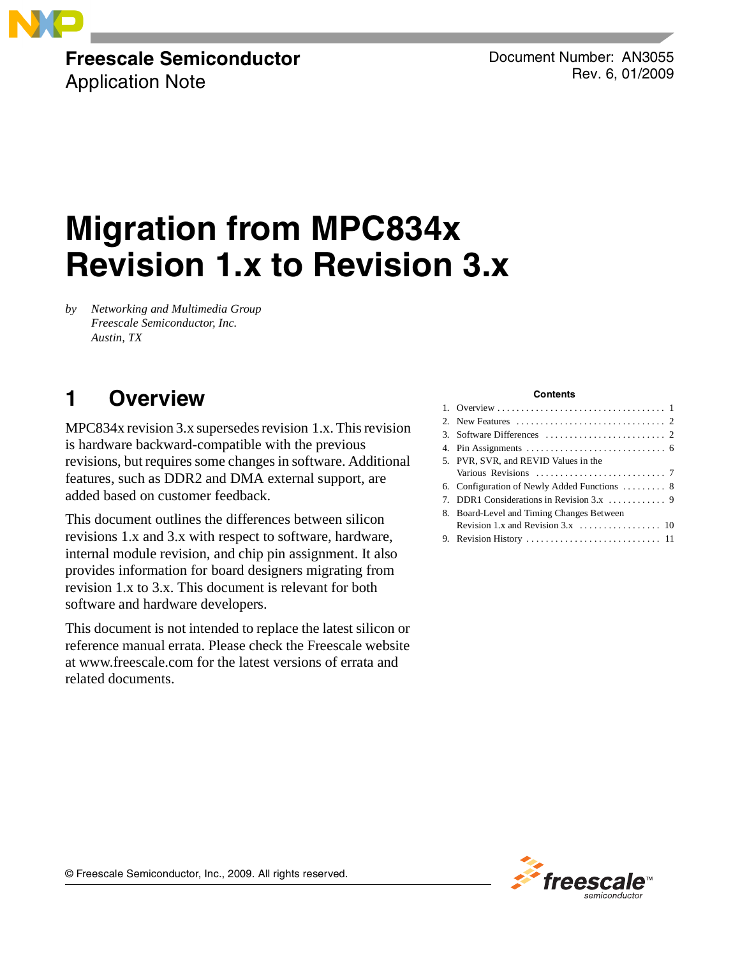

### **Freescale Semiconductor** Application Note

Document Number: AN3055 Rev. 6, 01/2009

# **Migration from MPC834x Revision 1.x to Revision 3.x**

*by Networking and Multimedia Group Freescale Semiconductor, Inc. Austin, TX*

## <span id="page-0-0"></span>**1 Overview**

MPC834x revision 3.x supersedes revision 1.x. This revision is hardware backward-compatible with the previous revisions, but requires some changes in software. Additional features, such as DDR2 and DMA external support, are added based on customer feedback.

This document outlines the differences between silicon revisions 1.x and 3.x with respect to software, hardware, internal module revision, and chip pin assignment. It also provides information for board designers migrating from revision 1.x to 3.x. This document is relevant for both software and hardware developers.

This document is not intended to replace the latest silicon or reference manual errata. Please check the Freescale website at www.freescale.com for the latest versions of errata and related documents.

#### **Contents**

| 5. PVR, SVR, and REVID Values in the         |
|----------------------------------------------|
|                                              |
| 6. Configuration of Newly Added Functions  8 |
|                                              |
| 8. Board-Level and Timing Changes Between    |
|                                              |
|                                              |



© Freescale Semiconductor, Inc., 2009. All rights reserved.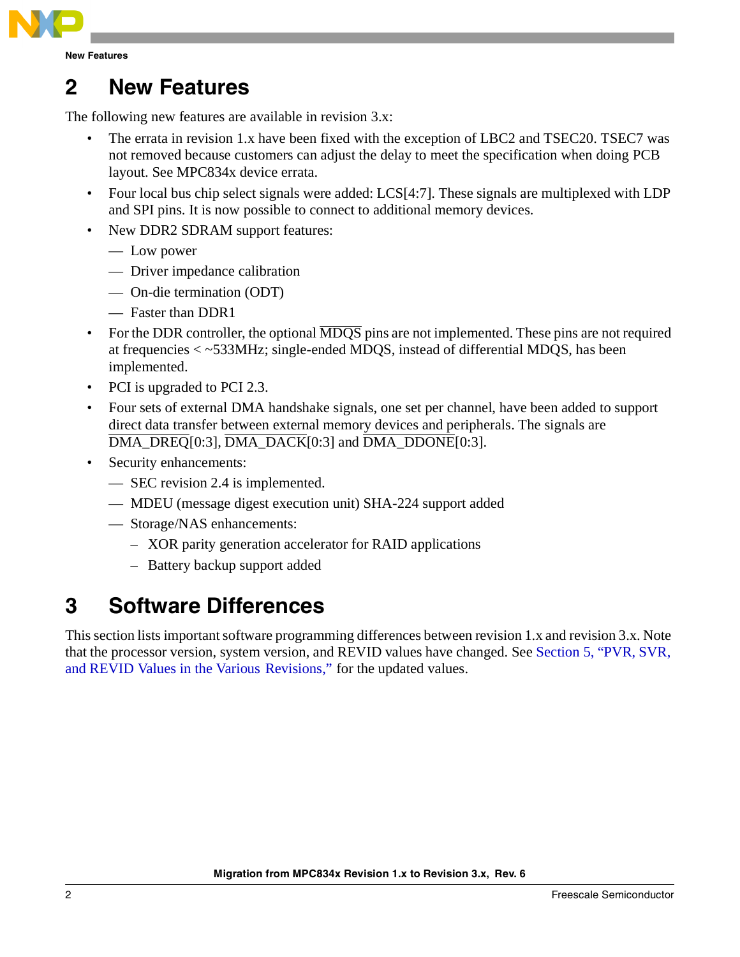

### <span id="page-1-0"></span>**2 New Features**

The following new features are available in revision 3.x:

- The errata in revision 1.x have been fixed with the exception of LBC2 and TSEC20. TSEC7 was not removed because customers can adjust the delay to meet the specification when doing PCB layout. See MPC834x device errata.
- Four local bus chip select signals were added: LCS[4:7]. These signals are multiplexed with LDP and SPI pins. It is now possible to connect to additional memory devices.
- New DDR2 SDRAM support features:
	- Low power
	- Driver impedance calibration
	- On-die termination (ODT)
	- Faster than DDR1
- For the DDR controller, the optional  $\overline{MDOS}$  pins are not implemented. These pins are not required at frequencies < ~533MHz; single-ended MDQS, instead of differential MDQS, has been implemented.
- PCI is upgraded to PCI 2.3.
- Four sets of external DMA handshake signals, one set per channel, have been added to support direct data transfer between external memory devices and peripherals. The signals are  $\overline{DMA\_DREG}[0:3], \overline{DMA\_DACK}[0:3]$  and  $\overline{DMA\_DDONE}[0:3]$ .
- Security enhancements:
	- SEC revision 2.4 is implemented.
	- MDEU (message digest execution unit) SHA-224 support added
	- Storage/NAS enhancements:
		- XOR parity generation accelerator for RAID applications
		- Battery backup support added

### <span id="page-1-1"></span>**3 Software Differences**

This section lists important software programming differences between revision 1.x and revision 3.x. Note that the processor version, system version, and REVID values have changed. See [Section 5, "PVR, SVR,](#page-6-0)  [and REVID Values in the Various Revisions,](#page-6-0)" for the updated values.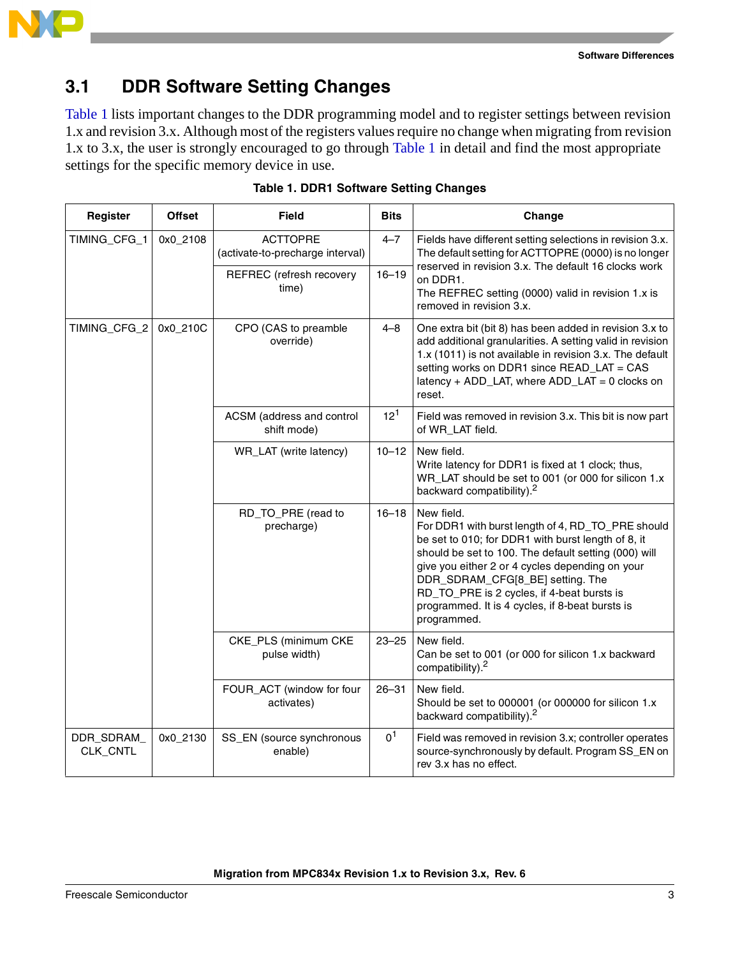

### **3.1 DDR Software Setting Changes**

[Table 1](#page-2-0) lists important changes to the DDR programming model and to register settings between revision 1.x and revision 3.x. Although most of the registers values require no change when migrating from revision 1.x to 3.x, the user is strongly encouraged to go through [Table 1](#page-2-0) in detail and find the most appropriate settings for the specific memory device in use.

<span id="page-2-0"></span>

| Register               | <b>Offset</b> | <b>Field</b>                                        | <b>Bits</b>    | Change                                                                                                                                                                                                                                                                                                                                                                               |  |  |  |
|------------------------|---------------|-----------------------------------------------------|----------------|--------------------------------------------------------------------------------------------------------------------------------------------------------------------------------------------------------------------------------------------------------------------------------------------------------------------------------------------------------------------------------------|--|--|--|
| TIMING_CFG_1           | 0x0_2108      | <b>ACTTOPRE</b><br>(activate-to-precharge interval) | $4 - 7$        | Fields have different setting selections in revision 3.x.<br>The default setting for ACTTOPRE (0000) is no longer                                                                                                                                                                                                                                                                    |  |  |  |
|                        |               | REFREC (refresh recovery<br>time)                   | $16 - 19$      | reserved in revision 3.x. The default 16 clocks work<br>on DDR1.<br>The REFREC setting (0000) valid in revision 1.x is<br>removed in revision 3.x.                                                                                                                                                                                                                                   |  |  |  |
| TIMING_CFG_2           | 0x0_210C      | CPO (CAS to preamble<br>override)                   | 4–8            | One extra bit (bit 8) has been added in revision 3.x to<br>add additional granularities. A setting valid in revision<br>1.x (1011) is not available in revision 3.x. The default<br>setting works on DDR1 since READ_LAT = CAS<br>latency + ADD_LAT, where ADD_LAT = 0 clocks on<br>reset.                                                                                           |  |  |  |
|                        |               | ACSM (address and control<br>shift mode)            | $12^{1}$       | Field was removed in revision 3.x. This bit is now part<br>of WR_LAT field.                                                                                                                                                                                                                                                                                                          |  |  |  |
|                        |               | WR_LAT (write latency)                              | $10 - 12$      | New field.<br>Write latency for DDR1 is fixed at 1 clock; thus,<br>WR_LAT should be set to 001 (or 000 for silicon 1.x<br>backward compatibility). <sup>2</sup>                                                                                                                                                                                                                      |  |  |  |
|                        |               | RD_TO_PRE (read to<br>precharge)                    | $16 - 18$      | New field.<br>For DDR1 with burst length of 4, RD_TO_PRE should<br>be set to 010; for DDR1 with burst length of 8, it<br>should be set to 100. The default setting (000) will<br>give you either 2 or 4 cycles depending on your<br>DDR_SDRAM_CFG[8_BE] setting. The<br>RD_TO_PRE is 2 cycles, if 4-beat bursts is<br>programmed. It is 4 cycles, if 8-beat bursts is<br>programmed. |  |  |  |
|                        |               | CKE_PLS (minimum CKE<br>pulse width)                | $23 - 25$      | New field.<br>Can be set to 001 (or 000 for silicon 1.x backward<br>compatibility). <sup>2</sup>                                                                                                                                                                                                                                                                                     |  |  |  |
|                        |               | FOUR_ACT (window for four<br>activates)             | $26 - 31$      | New field.<br>Should be set to 000001 (or 000000 for silicon 1.x<br>backward compatibility). <sup>2</sup>                                                                                                                                                                                                                                                                            |  |  |  |
| DDR_SDRAM_<br>CLK_CNTL | 0x0_2130      | SS_EN (source synchronous<br>enable)                | 0 <sup>1</sup> | Field was removed in revision 3.x; controller operates<br>source-synchronously by default. Program SS_EN on<br>rev 3.x has no effect.                                                                                                                                                                                                                                                |  |  |  |

|  |  | Table 1. DDR1 Software Setting Changes |  |  |
|--|--|----------------------------------------|--|--|
|--|--|----------------------------------------|--|--|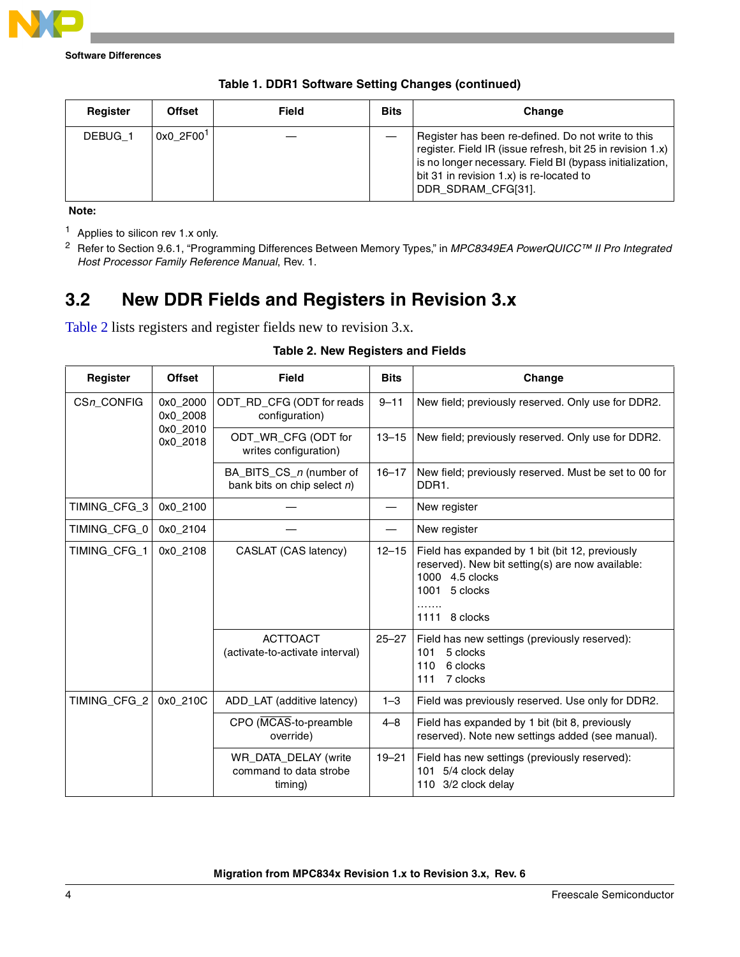

**Software Differences**

| Register | <b>Offset</b>         | Field | <b>Bits</b> | Change                                                                                                                                                                                                                                         |
|----------|-----------------------|-------|-------------|------------------------------------------------------------------------------------------------------------------------------------------------------------------------------------------------------------------------------------------------|
| DEBUG 1  | 0x0 2F00 <sup>1</sup> |       |             | Register has been re-defined. Do not write to this<br>register. Field IR (issue refresh, bit 25 in revision 1.x)<br>is no longer necessary. Field BI (bypass initialization,<br>bit 31 in revision 1.x) is re-located to<br>DDR SDRAM CFG[31]. |

|  | Table 1. DDR1 Software Setting Changes (continued) |  |  |
|--|----------------------------------------------------|--|--|
|--|----------------------------------------------------|--|--|

**Note:** 

<sup>1</sup> Applies to silicon rev 1.x only.

<sup>2</sup> Refer to Section 9.6.1, "Programming Differences Between Memory Types," in MPC8349EA PowerQUICC™ II Pro Integrated Host Processor Family Reference Manual, Rev. 1.

### **3.2 New DDR Fields and Registers in Revision 3.x**

<span id="page-3-0"></span>[Table 2](#page-3-0) lists registers and register fields new to revision 3.x.

| Register     | <b>Offset</b>        | <b>Field</b>                                              | <b>Bits</b>                                                     | Change                                                                                                                                                         |
|--------------|----------------------|-----------------------------------------------------------|-----------------------------------------------------------------|----------------------------------------------------------------------------------------------------------------------------------------------------------------|
| CSn_CONFIG   | 0x0_2000<br>0x0_2008 | ODT_RD_CFG (ODT for reads<br>configuration)               | $9 - 11$                                                        | New field; previously reserved. Only use for DDR2.                                                                                                             |
|              | 0x0_2010<br>0x0_2018 | ODT_WR_CFG (ODT for<br>writes configuration)              | New field; previously reserved. Only use for DDR2.<br>$13 - 15$ |                                                                                                                                                                |
|              |                      | BA_BITS_CS_n (number of<br>bank bits on chip select $n$ ) | $16 - 17$                                                       | New field; previously reserved. Must be set to 00 for<br>DDR1.                                                                                                 |
| TIMING_CFG_3 | 0x0_2100             |                                                           |                                                                 | New register                                                                                                                                                   |
| TIMING_CFG_0 | 0x0_2104             |                                                           |                                                                 | New register                                                                                                                                                   |
| TIMING_CFG_1 | 0x0_2108             | CASLAT (CAS latency)                                      | $12 - 15$                                                       | Field has expanded by 1 bit (bit 12, previously<br>reserved). New bit setting(s) are now available:<br>1000 4.5 clocks<br>1001<br>5 clocks<br>1111<br>8 clocks |
|              |                      | <b>ACTTOACT</b><br>(activate-to-activate interval)        | $25 - 27$                                                       | Field has new settings (previously reserved):<br>5 clocks<br>101<br>6 clocks<br>110<br>111<br>7 clocks                                                         |
| TIMING_CFG_2 | 0x0_210C             | ADD_LAT (additive latency)                                | $1 - 3$                                                         | Field was previously reserved. Use only for DDR2.                                                                                                              |
|              |                      | CPO (MCAS-to-preamble<br>override)                        | $4 - 8$                                                         | Field has expanded by 1 bit (bit 8, previously<br>reserved). Note new settings added (see manual).                                                             |
|              |                      | WR_DATA_DELAY (write<br>command to data strobe<br>timing) | $19 - 21$                                                       | Field has new settings (previously reserved):<br>101 5/4 clock delay<br>110 3/2 clock delay                                                                    |

### **Table 2. New Registers and Fields**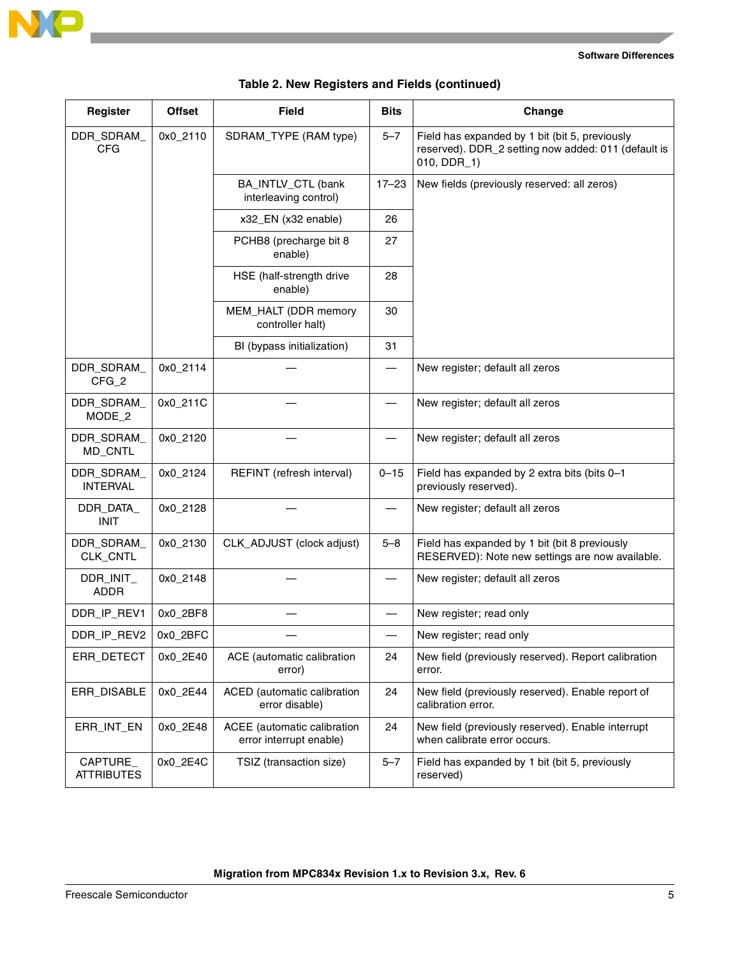

 $\overline{\phantom{a}}$ 

#### **Software Differences**

| Register                      | <b>Offset</b> | <b>Field</b>                                           | <b>Bits</b> | Change                                                                                                               |  |
|-------------------------------|---------------|--------------------------------------------------------|-------------|----------------------------------------------------------------------------------------------------------------------|--|
| DDR SDRAM<br><b>CFG</b>       | 0x0_2110      | SDRAM_TYPE (RAM type)                                  | $5 - 7$     | Field has expanded by 1 bit (bit 5, previously<br>reserved). DDR_2 setting now added: 011 (default is<br>010, DDR_1) |  |
|                               |               | BA_INTLV_CTL (bank<br>interleaving control)            | $17 - 23$   | New fields (previously reserved: all zeros)                                                                          |  |
|                               |               | x32_EN (x32 enable)                                    | 26          |                                                                                                                      |  |
|                               |               | PCHB8 (precharge bit 8<br>enable)                      | 27          |                                                                                                                      |  |
|                               |               | HSE (half-strength drive<br>enable)                    | 28          |                                                                                                                      |  |
|                               |               | MEM_HALT (DDR memory<br>controller halt)               | 30          |                                                                                                                      |  |
|                               |               | BI (bypass initialization)                             | 31          |                                                                                                                      |  |
| DDR_SDRAM_<br>$CFG_2$         | 0x0_2114      |                                                        |             | New register; default all zeros                                                                                      |  |
| DDR_SDRAM_<br>MODE_2          | 0x0_211C      |                                                        |             | New register; default all zeros                                                                                      |  |
| DDR_SDRAM_<br>MD_CNTL         | 0x0_2120      |                                                        |             | New register; default all zeros                                                                                      |  |
| DDR_SDRAM_<br><b>INTERVAL</b> | 0x0_2124      | REFINT (refresh interval)                              | $0 - 15$    | Field has expanded by 2 extra bits (bits 0-1<br>previously reserved).                                                |  |
| DDR_DATA_<br><b>INIT</b>      | 0x0_2128      |                                                        |             | New register; default all zeros                                                                                      |  |
| DDR_SDRAM_<br>CLK_CNTL        | 0x0_2130      | CLK_ADJUST (clock adjust)                              | $5 - 8$     | Field has expanded by 1 bit (bit 8 previously<br>RESERVED): Note new settings are now available.                     |  |
| DDR_INIT_<br><b>ADDR</b>      | 0x0_2148      |                                                        |             | New register; default all zeros                                                                                      |  |
| DDR_IP_REV1                   | 0x0_2BF8      |                                                        |             | New register; read only                                                                                              |  |
| DDR_IP_REV2                   | 0x0_2BFC      |                                                        |             | New register; read only                                                                                              |  |
| ERR_DETECT                    | 0x0_2E40      | ACE (automatic calibration<br>error)                   | 24          | New field (previously reserved). Report calibration<br>error.                                                        |  |
| ERR_DISABLE                   | 0x0_2E44      | ACED (automatic calibration<br>error disable)          | 24          | New field (previously reserved). Enable report of<br>calibration error.                                              |  |
| ERR_INT_EN                    | 0x0_2E48      | ACEE (automatic calibration<br>error interrupt enable) | 24          | New field (previously reserved). Enable interrupt<br>when calibrate error occurs.                                    |  |
| CAPTURE_<br><b>ATTRIBUTES</b> | 0x0_2E4C      | TSIZ (transaction size)                                | $5 - 7$     | Field has expanded by 1 bit (bit 5, previously<br>reserved)                                                          |  |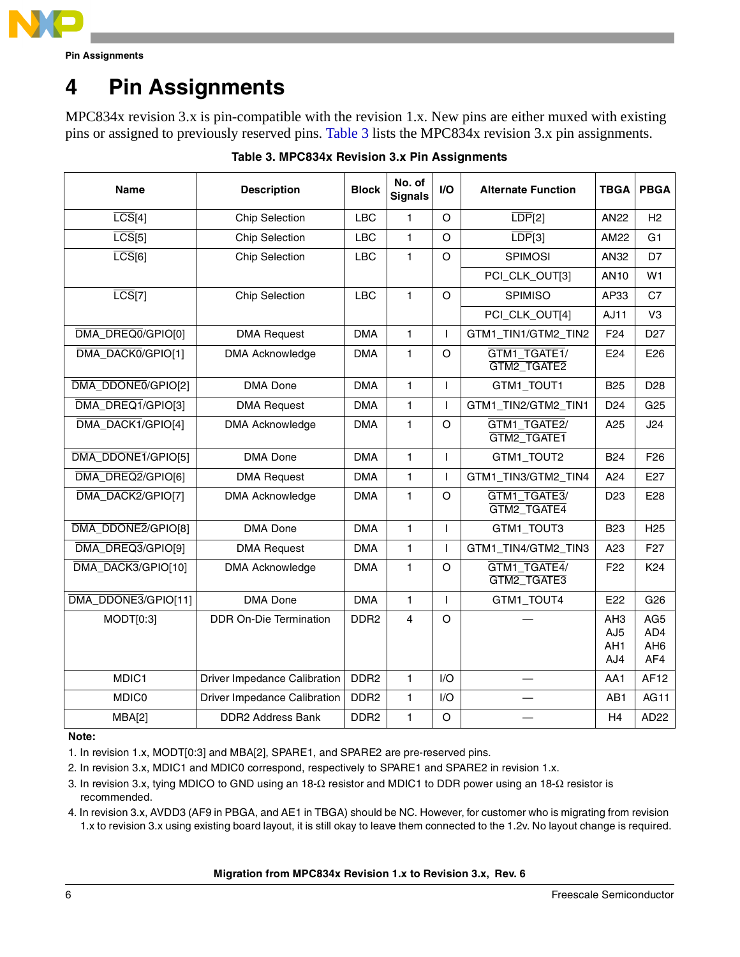

**Pin Assignments**

# <span id="page-5-0"></span>**4 Pin Assignments**

MPC834x revision 3.x is pin-compatible with the revision 1.x. New pins are either muxed with existing pins or assigned to previously reserved pins. [Table 3](#page-5-1) lists the MPC834x revision 3.x pin assignments.

<span id="page-5-1"></span>

| <b>Description</b><br><b>Name</b> |                                     | <b>Block</b>     | No. of<br><b>Signals</b> | I/O          | <b>Alternate Function</b>   | <b>TBGA</b>                          | <b>PBGA</b>                                      |
|-----------------------------------|-------------------------------------|------------------|--------------------------|--------------|-----------------------------|--------------------------------------|--------------------------------------------------|
| $\overline{LCS}[4]$               | <b>Chip Selection</b>               | <b>LBC</b>       | 1                        | $\circ$      | $\overline{LDP[2]}$         | <b>AN22</b>                          | H <sub>2</sub>                                   |
| $\overline{LCS}[5]$               | <b>Chip Selection</b>               | <b>LBC</b>       | $\mathbf{1}$             | $\circ$      | $\overline{LDP}[3]$         | AM22                                 | G <sub>1</sub>                                   |
| $\overline{LCS}[6]$               | <b>Chip Selection</b>               | <b>LBC</b>       | $\mathbf{1}$             | $\circ$      | <b>SPIMOSI</b>              | AN32                                 | D7                                               |
|                                   |                                     |                  |                          |              | PCI_CLK_OUT[3]              | <b>AN10</b>                          | W <sub>1</sub>                                   |
| $\overline{LCS}[7]$               | <b>Chip Selection</b>               | <b>LBC</b>       | $\mathbf{1}$             | $\circ$      | <b>SPIMISO</b>              | AP33                                 | C7                                               |
|                                   |                                     |                  |                          |              | PCI_CLK_OUT[4]              | AJ11                                 | V <sub>3</sub>                                   |
| DMA DREQ0/GPIO[0]                 | <b>DMA Request</b>                  | <b>DMA</b>       | $\mathbf{1}$             | T            | GTM1_TIN1/GTM2_TIN2         | F <sub>24</sub>                      | D <sub>27</sub>                                  |
| DMA_DACK0/GPIO[1]                 | <b>DMA Acknowledge</b>              | <b>DMA</b>       | 1                        | $\circ$      | GTM1_TGATE1/<br>GTM2_TGATE2 | E24                                  | E26                                              |
| DMA_DDONE0/GPIO[2]                | <b>DMA</b> Done                     | <b>DMA</b>       | $\mathbf{1}$             | T            | GTM1 TOUT1                  | <b>B25</b>                           | D <sub>28</sub>                                  |
| DMA_DREQ1/GPIO[3]                 | <b>DMA Request</b>                  | <b>DMA</b>       | $\mathbf{1}$             | ı            | GTM1_TIN2/GTM2_TIN1         | D <sub>24</sub>                      | G <sub>25</sub>                                  |
| DMA_DACK1/GPIO[4]                 | <b>DMA Acknowledge</b>              | <b>DMA</b>       | $\mathbf{1}$             | $\circ$      | GTM1_TGATE2/<br>GTM2_TGATE1 | A25                                  | J24                                              |
| DMA_DDONE1/GPIO[5]                | <b>DMA</b> Done                     | <b>DMA</b>       | $\mathbf{1}$             | T            | GTM1_TOUT2                  | <b>B24</b>                           | F <sub>26</sub>                                  |
| DMA DREQ2/GPIO[6]                 | <b>DMA Request</b>                  | <b>DMA</b>       | $\mathbf{1}$             | $\mathbf{I}$ | GTM1_TIN3/GTM2_TIN4         | A24                                  | E27                                              |
| DMA_DACK2/GPIO[7]                 | <b>DMA Acknowledge</b>              | <b>DMA</b>       | 1                        | O            | GTM1_TGATE3/<br>GTM2_TGATE4 | D <sub>23</sub>                      | E28                                              |
| DMA_DDONE2/GPIO[8]                | <b>DMA</b> Done                     | <b>DMA</b>       | $\mathbf{1}$             | $\mathbf{I}$ | GTM1_TOUT3                  | <b>B23</b>                           | H <sub>25</sub>                                  |
| DMA DREQ3/GPIO[9]                 | <b>DMA Request</b>                  | <b>DMA</b>       | $\mathbf{1}$             | T            | GTM1_TIN4/GTM2_TIN3         | A23                                  | F <sub>27</sub>                                  |
| DMA_DACK3/GPIO[10]                | <b>DMA Acknowledge</b>              | <b>DMA</b>       | $\mathbf{1}$             | $\Omega$     | GTM1 TGATE4/<br>GTM2_TGATE3 | F <sub>22</sub>                      | K24                                              |
| DMA DDONE3/GPIO[11]               | <b>DMA</b> Done                     | <b>DMA</b>       | 1                        | T            | GTM1_TOUT4                  | E22                                  | G26                                              |
| MODT[0:3]                         | DDR On-Die Termination              | DDR <sub>2</sub> | $\overline{4}$           | $\circ$      |                             | AH <sub>3</sub><br>AJ5<br>AH1<br>AJ4 | AG <sub>5</sub><br>AD4<br>AH <sub>6</sub><br>AF4 |
| MDIC1                             | Driver Impedance Calibration        | DDR <sub>2</sub> | 1                        | I/O          |                             | AA1                                  | <b>AF12</b>                                      |
| <b>MDIC0</b>                      | <b>Driver Impedance Calibration</b> | DDR <sub>2</sub> | $\mathbf{1}$             | I/O          |                             | AB1                                  | AG11                                             |
| MBA[2]                            | <b>DDR2 Address Bank</b>            | DDR <sub>2</sub> | $\mathbf{1}$             | $\circ$      |                             | H4                                   | AD <sub>22</sub>                                 |

### **Table 3. MPC834x Revision 3.x Pin Assignments**

#### **Note:**

1. In revision 1.x, MODT[0:3] and MBA[2], SPARE1, and SPARE2 are pre-reserved pins.

- 2. In revision 3.x, MDIC1 and MDIC0 correspond, respectively to SPARE1 and SPARE2 in revision 1.x.
- 3. In revision 3.x, tying MDICO to GND using an 18-Ω resistor and MDIC1 to DDR power using an 18-Ω resistor is recommended.
- 4. In revision 3.x, AVDD3 (AF9 in PBGA, and AE1 in TBGA) should be NC. However, for customer who is migrating from revision 1.x to revision 3.x using existing board layout, it is still okay to leave them connected to the 1.2v. No layout change is required.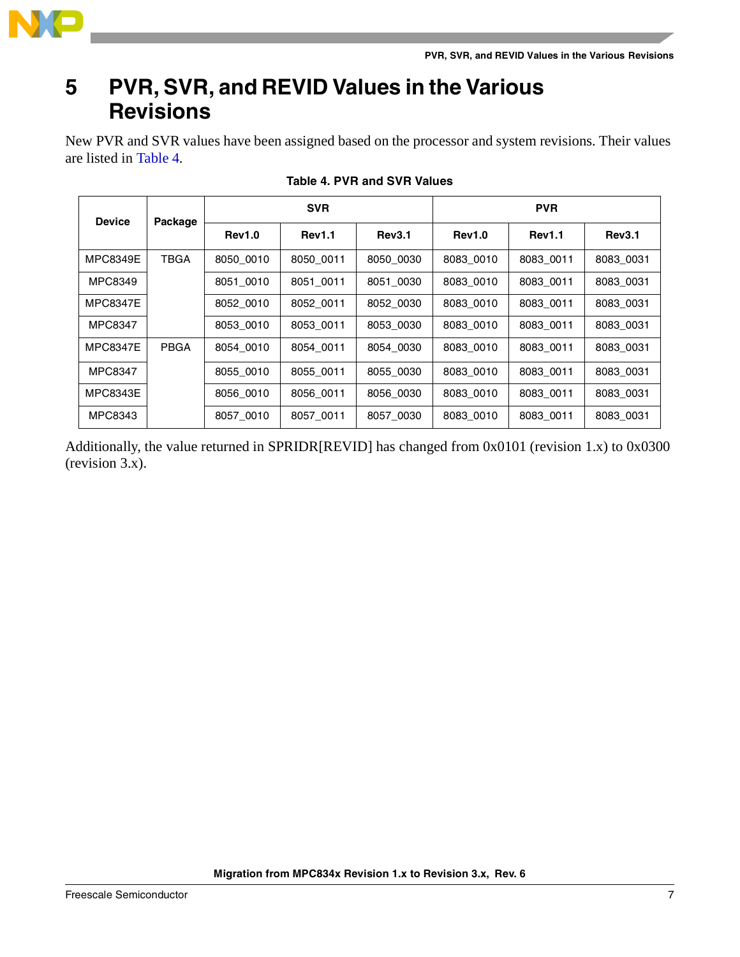

### <span id="page-6-0"></span>**5 PVR, SVR, and REVID Values in the Various Revisions**

New PVR and SVR values have been assigned based on the processor and system revisions. Their values are listed in [Table 4](#page-6-1).

<span id="page-6-1"></span>

| <b>Device</b>   | Package     | <b>SVR</b>    |               |               | <b>PVR</b>    |               |               |  |
|-----------------|-------------|---------------|---------------|---------------|---------------|---------------|---------------|--|
|                 |             | <b>Rev1.0</b> | <b>Rev1.1</b> | <b>Rev3.1</b> | <b>Rev1.0</b> | <b>Rev1.1</b> | <b>Rev3.1</b> |  |
| <b>MPC8349E</b> | <b>TBGA</b> | 8050 0010     | 8050 0011     | 8050 0030     | 8083 0010     | 8083 0011     | 8083 0031     |  |
| MPC8349         |             | 8051 0010     | 8051 0011     | 8051 0030     | 8083 0010     | 8083 0011     | 8083 0031     |  |
| <b>MPC8347E</b> |             | 8052_0010     | 8052 0011     | 8052 0030     | 8083 0010     | 8083 0011     | 8083 0031     |  |
| MPC8347         |             | 8053 0010     | 8053 0011     | 8053 0030     | 8083 0010     | 8083 0011     | 8083 0031     |  |
| <b>MPC8347E</b> | <b>PBGA</b> | 8054 0010     | 8054 0011     | 8054 0030     | 8083 0010     | 8083 0011     | 8083 0031     |  |
| MPC8347         |             | 8055 0010     | 8055 0011     | 8055 0030     | 8083 0010     | 8083 0011     | 8083 0031     |  |
| <b>MPC8343E</b> |             | 8056 0010     | 8056 0011     | 8056 0030     | 8083 0010     | 8083 0011     | 8083 0031     |  |
| MPC8343         |             | 8057 0010     | 8057 0011     | 8057 0030     | 8083 0010     | 8083 0011     | 8083 0031     |  |

**Table 4. PVR and SVR Values**

Additionally, the value returned in SPRIDR[REVID] has changed from 0x0101 (revision 1.x) to 0x0300 (revision 3.x).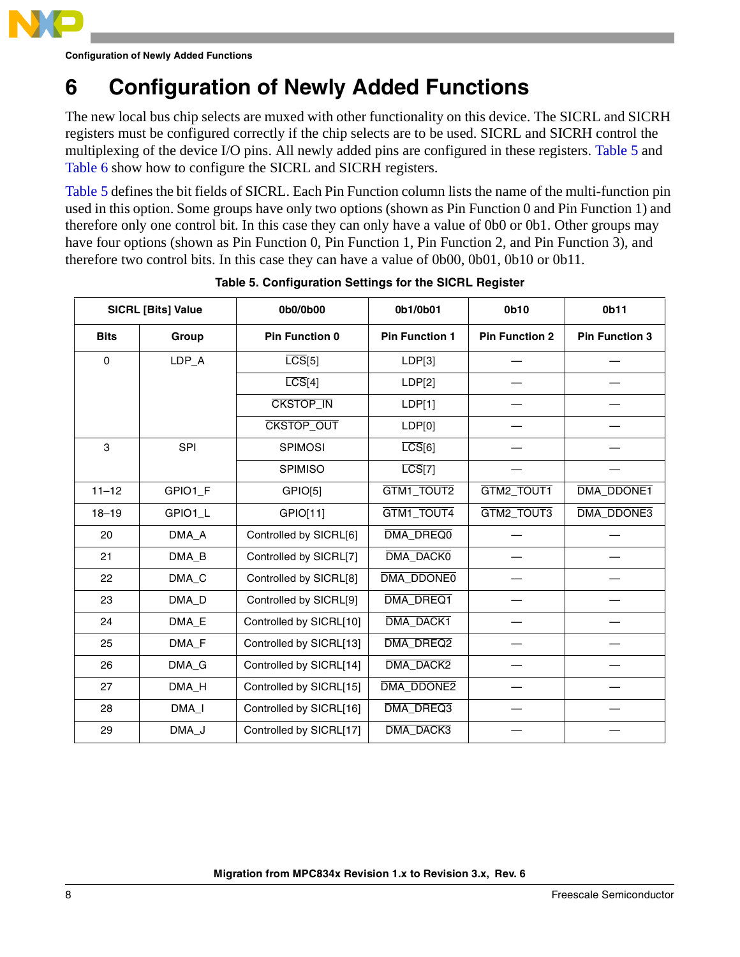

**Configuration of Newly Added Functions**

### <span id="page-7-0"></span>**6 Configuration of Newly Added Functions**

The new local bus chip selects are muxed with other functionality on this device. The SICRL and SICRH registers must be configured correctly if the chip selects are to be used. SICRL and SICRH control the multiplexing of the device I/O pins. All newly added pins are configured in these registers. [Table 5](#page-7-1) and [Table 6](#page-8-1) show how to configure the SICRL and SICRH registers.

[Table 5](#page-7-1) defines the bit fields of SICRL. Each Pin Function column lists the name of the multi-function pin used in this option. Some groups have only two options (shown as Pin Function 0 and Pin Function 1) and therefore only one control bit. In this case they can only have a value of 0b0 or 0b1. Other groups may have four options (shown as Pin Function 0, Pin Function 1, Pin Function 2, and Pin Function 3), and therefore two control bits. In this case they can have a value of 0b00, 0b01, 0b10 or 0b11.

<span id="page-7-1"></span>

|                      | <b>SICRL [Bits] Value</b> | 0b0/0b00                | 0b1/0b01              | 0b10                  | 0b11                  |
|----------------------|---------------------------|-------------------------|-----------------------|-----------------------|-----------------------|
| Group<br><b>Bits</b> |                           | <b>Pin Function 0</b>   | <b>Pin Function 1</b> | <b>Pin Function 2</b> | <b>Pin Function 3</b> |
| $\mathbf 0$          | LDP_A                     | $\overline{LCS}[5]$     | LDP[3]                |                       |                       |
|                      |                           | $\overline{LCS}[4]$     | LDP[2]                |                       |                       |
|                      |                           | <b>CKSTOP_IN</b>        | LDP[1]                |                       |                       |
|                      |                           | CKSTOP_OUT              | LDP[0]                |                       |                       |
| 3                    | SPI                       | <b>SPIMOSI</b>          | $\overline{LCS}[6]$   |                       |                       |
|                      |                           | <b>SPIMISO</b>          | $\overline{LCS}[7]$   |                       |                       |
| $11 - 12$            | GPIO1_F                   | GPIO[5]                 | GTM1_TOUT2            | GTM2_TOUT1            | <b>DMA DDONE1</b>     |
| $18 - 19$            | GPIO1_L                   | GPIO[11]                | GTM1_TOUT4            | GTM2_TOUT3            | DMA_DDONE3            |
| 20                   | DMA_A                     | Controlled by SICRL[6]  | DMA_DREQ0             |                       |                       |
| 21                   | DMA_B                     | Controlled by SICRL[7]  | DMA_DACK0             |                       |                       |
| 22                   | DMA_C                     | Controlled by SICRL[8]  | DMA_DDONE0            |                       |                       |
| 23                   | DMA_D                     | Controlled by SICRL[9]  | DMA_DREQ1             |                       |                       |
| 24                   | DMA_E                     | Controlled by SICRL[10] | DMA_DACK1             |                       |                       |
| 25                   | DMA_F                     | Controlled by SICRL[13] | DMA_DREQ2             |                       |                       |
| 26                   | DMA_G                     | Controlled by SICRL[14] | DMA_DACK2             |                       |                       |
| 27                   | DMA_H                     | Controlled by SICRL[15] | DMA_DDONE2            |                       |                       |
| 28                   | $DMA_l$                   | Controlled by SICRL[16] | DMA_DREQ3             |                       |                       |
| 29                   | DMA_J                     | Controlled by SICRL[17] | DMA_DACK3             |                       |                       |

### **Table 5. Configuration Settings for the SICRL Register**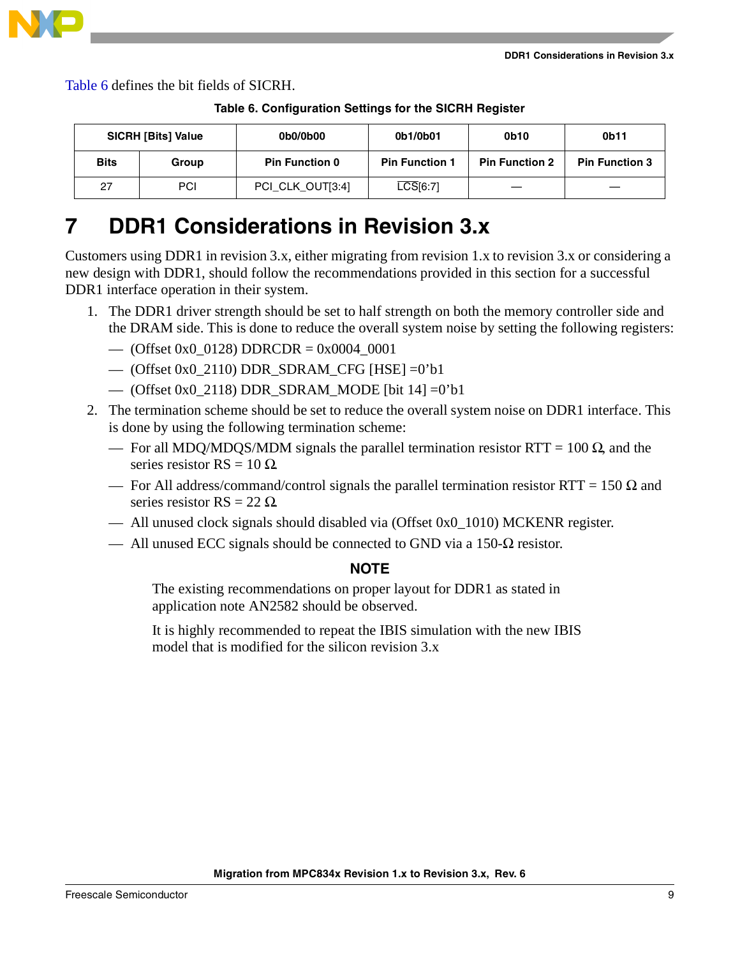

<span id="page-8-1"></span>[Table 6](#page-8-1) defines the bit fields of SICRH.

| <b>SICRH [Bits] Value</b> |       | 0b0/0b00              | 0b1/0b01               | 0b10                  | 0b11                  |
|---------------------------|-------|-----------------------|------------------------|-----------------------|-----------------------|
| <b>Bits</b>               | Group | <b>Pin Function 0</b> | <b>Pin Function 1</b>  | <b>Pin Function 2</b> | <b>Pin Function 3</b> |
| 27                        | PCI   | PCI CLK OUT[3:4]      | $\overline{LCS}$ [6:7] | —                     |                       |

**Table 6. Configuration Settings for the SICRH Register**

### <span id="page-8-0"></span>**7 DDR1 Considerations in Revision 3.x**

Customers using DDR1 in revision 3.x, either migrating from revision 1.x to revision 3.x or considering a new design with DDR1, should follow the recommendations provided in this section for a successful DDR1 interface operation in their system.

- 1. The DDR1 driver strength should be set to half strength on both the memory controller side and the DRAM side. This is done to reduce the overall system noise by setting the following registers:
	- (Offset 0x0 \ 0128) DDRCDR = 0x0004 \ 0001
	- (Offset 0x0\_2110) DDR\_SDRAM\_CFG [HSE] =0'b1
	- (Offset 0x0\_2118) DDR\_SDRAM\_MODE [bit 14] =0'b1
- 2. The termination scheme should be set to reduce the overall system noise on DDR1 interface. This is done by using the following termination scheme:
	- For all MDQ/MDQS/MDM signals the parallel termination resistor RTT = 100 Ω, and the series resistor  $RS = 10 \Omega$ .
	- For All address/command/control signals the parallel termination resistor RTT = 150 Ω and series resistor  $RS = 22 \Omega$ .
	- All unused clock signals should disabled via (Offset 0x0\_1010) MCKENR register.
	- All unused ECC signals should be connected to GND via a 150- $\Omega$  resistor.

#### **NOTE**

The existing recommendations on proper layout for DDR1 as stated in application note AN2582 should be observed.

It is highly recommended to repeat the IBIS simulation with the new IBIS model that is modified for the silicon revision 3.x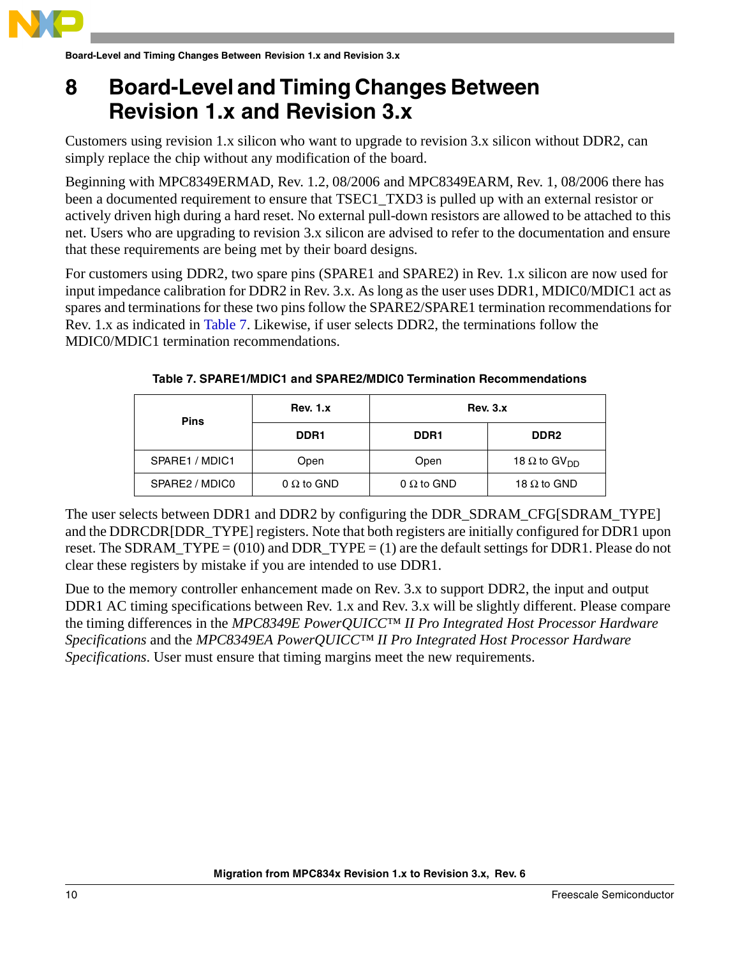

**Board-Level and Timing Changes Between Revision 1.x and Revision 3.x**

### <span id="page-9-0"></span>**8 Board-Level and Timing Changes Between Revision 1.x and Revision 3.x**

Customers using revision 1.x silicon who want to upgrade to revision 3.x silicon without DDR2, can simply replace the chip without any modification of the board.

Beginning with MPC8349ERMAD, Rev. 1.2, 08/2006 and MPC8349EARM, Rev. 1, 08/2006 there has been a documented requirement to ensure that TSEC1\_TXD3 is pulled up with an external resistor or actively driven high during a hard reset. No external pull-down resistors are allowed to be attached to this net. Users who are upgrading to revision 3.x silicon are advised to refer to the documentation and ensure that these requirements are being met by their board designs.

For customers using DDR2, two spare pins (SPARE1 and SPARE2) in Rev. 1.x silicon are now used for input impedance calibration for DDR2 in Rev. 3.x. As long as the user uses DDR1, MDIC0/MDIC1 act as spares and terminations for these two pins follow the SPARE2/SPARE1 termination recommendations for Rev. 1.x as indicated in [Table 7](#page-9-1). Likewise, if user selects DDR2, the terminations follow the MDIC0/MDIC1 termination recommendations.

<span id="page-9-1"></span>

| <b>Pins</b>    | <b>Rev. 1.x</b>   | <b>Rev. 3.x</b>   |                                 |
|----------------|-------------------|-------------------|---------------------------------|
|                | DDR <sub>1</sub>  | DDR <sub>1</sub>  | DDR <sub>2</sub>                |
| SPARE1 / MDIC1 | Open              | Open              | 18 $\Omega$ to GV <sub>DD</sub> |
| SPARE2 / MDIC0 | $0 \Omega$ to GND | $0 \Omega$ to GND | 18 $\Omega$ to GND              |

**Table 7. SPARE1/MDIC1 and SPARE2/MDIC0 Termination Recommendations**

The user selects between DDR1 and DDR2 by configuring the DDR\_SDRAM\_CFG[SDRAM\_TYPE] and the DDRCDR[DDR\_TYPE] registers. Note that both registers are initially configured for DDR1 upon reset. The SDRAM  $TYPE = (010)$  and DDR  $TYPE = (1)$  are the default settings for DDR1. Please do not clear these registers by mistake if you are intended to use DDR1.

Due to the memory controller enhancement made on Rev. 3.x to support DDR2, the input and output DDR1 AC timing specifications between Rev. 1.x and Rev. 3.x will be slightly different. Please compare the timing differences in the *MPC8349E PowerQUICC™ II Pro Integrated Host Processor Hardware Specifications* and the *MPC8349EA PowerQUICC™ II Pro Integrated Host Processor Hardware Specifications*. User must ensure that timing margins meet the new requirements.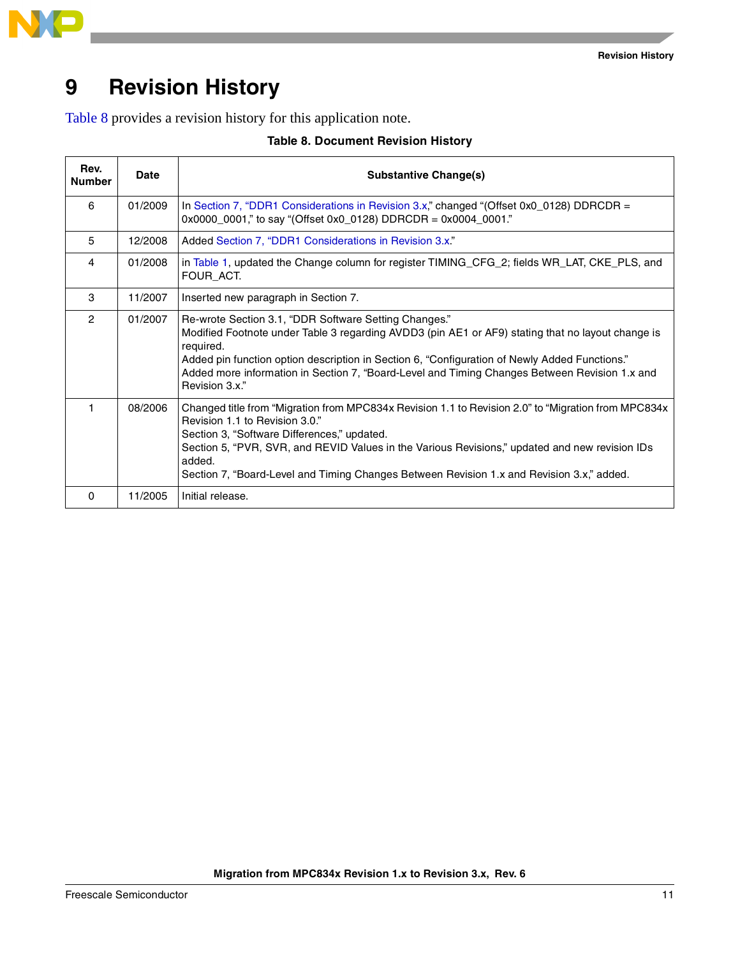

### <span id="page-10-0"></span>**9 Revision History**

<span id="page-10-1"></span>[Table 8](#page-10-1) provides a revision history for this application note.

|  | <b>Table 8. Document Revision History</b> |  |  |  |
|--|-------------------------------------------|--|--|--|
|--|-------------------------------------------|--|--|--|

| Rev.<br><b>Number</b> | Date    | <b>Substantive Change(s)</b>                                                                                                                                                                                                                                                                                                                                                                  |
|-----------------------|---------|-----------------------------------------------------------------------------------------------------------------------------------------------------------------------------------------------------------------------------------------------------------------------------------------------------------------------------------------------------------------------------------------------|
| 6                     | 01/2009 | In Section 7, "DDR1 Considerations in Revision 3.x," changed "(Offset 0x0 0128) DDRCDR =<br>$0x0000_0001$ ," to say "(Offset 0x0_0128) DDRCDR = 0x0004_0001."                                                                                                                                                                                                                                 |
| 5                     | 12/2008 | Added Section 7, "DDR1 Considerations in Revision 3.x."                                                                                                                                                                                                                                                                                                                                       |
| $\overline{4}$        | 01/2008 | in Table 1, updated the Change column for register TIMING_CFG_2; fields WR_LAT, CKE_PLS, and<br>FOUR ACT.                                                                                                                                                                                                                                                                                     |
| 3                     | 11/2007 | Inserted new paragraph in Section 7.                                                                                                                                                                                                                                                                                                                                                          |
| $\overline{2}$        | 01/2007 | Re-wrote Section 3.1, "DDR Software Setting Changes."<br>Modified Footnote under Table 3 regarding AVDD3 (pin AE1 or AF9) stating that no layout change is<br>required.<br>Added pin function option description in Section 6, "Configuration of Newly Added Functions."<br>Added more information in Section 7, "Board-Level and Timing Changes Between Revision 1.x and<br>Revision 3.x."   |
|                       | 08/2006 | Changed title from "Migration from MPC834x Revision 1.1 to Revision 2.0" to "Migration from MPC834x<br>Revision 1.1 to Revision 3.0."<br>Section 3, "Software Differences," updated.<br>Section 5, "PVR, SVR, and REVID Values in the Various Revisions," updated and new revision IDs<br>added.<br>Section 7, "Board-Level and Timing Changes Between Revision 1.x and Revision 3.x," added. |
| $\Omega$              | 11/2005 | Initial release.                                                                                                                                                                                                                                                                                                                                                                              |

**Migration from MPC834x Revision 1.x to Revision 3.x, Rev. 6**